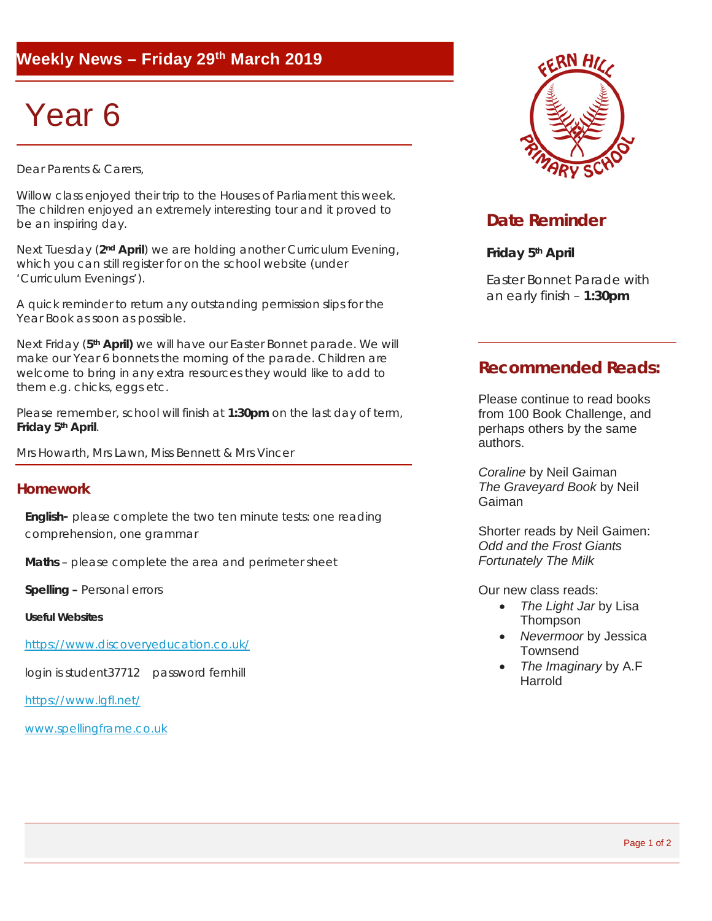### **Weekly News – Friday 29th March 2019**

# Year 6

Dear Parents & Carers.

Willow class enjoyed their trip to the Houses of Parliament this week. The children enjoyed an extremely interesting tour and it proved to be an inspiring day.

Next Tuesday (**2nd April**) we are holding another Curriculum Evening, which you can still register for on the school website (under 'Curriculum Evenings').

A quick reminder to return any outstanding permission slips for the Year Book as soon as possible.

Next Friday (**5th April)** we will have our Easter Bonnet parade. We will make our Year 6 bonnets the morning of the parade. Children are welcome to bring in any extra resources they would like to add to them e.g. chicks, eggs etc.

Please remember, school will finish at **1:30pm** on the last day of term, **Friday 5th April**.

Mrs Howarth, Mrs Lawn, Miss Bennett & Mrs Vincer

#### **Homework**

**English-** please complete the two ten minute tests: one reading comprehension, one grammar

**Maths** – please complete the area and perimeter sheet

**Spelling –** Personal errors

**Useful Websites**

<https://www.discoveryeducation.co.uk/>

login is student37712 password fernhill

<https://www.lgfl.net/>

[www.spellingframe.co.uk](http://www.spellingframe.co.uk/)



#### **Date Reminder**

**Friday 5th April**

Easter Bonnet Parade with an early finish – **1:30pm**

#### **Recommended Reads:**

Please continue to read books from 100 Book Challenge, and perhaps others by the same authors.

*Coraline* by Neil Gaiman *The Graveyard Book* by Neil Gaiman

Shorter reads by Neil Gaimen: *Odd and the Frost Giants Fortunately The Milk*

Our new class reads:

- *The Light Jar* by Lisa Thompson
- *Nevermoor* by Jessica **Townsend**
- *The Imaginary* by A.F Harrold